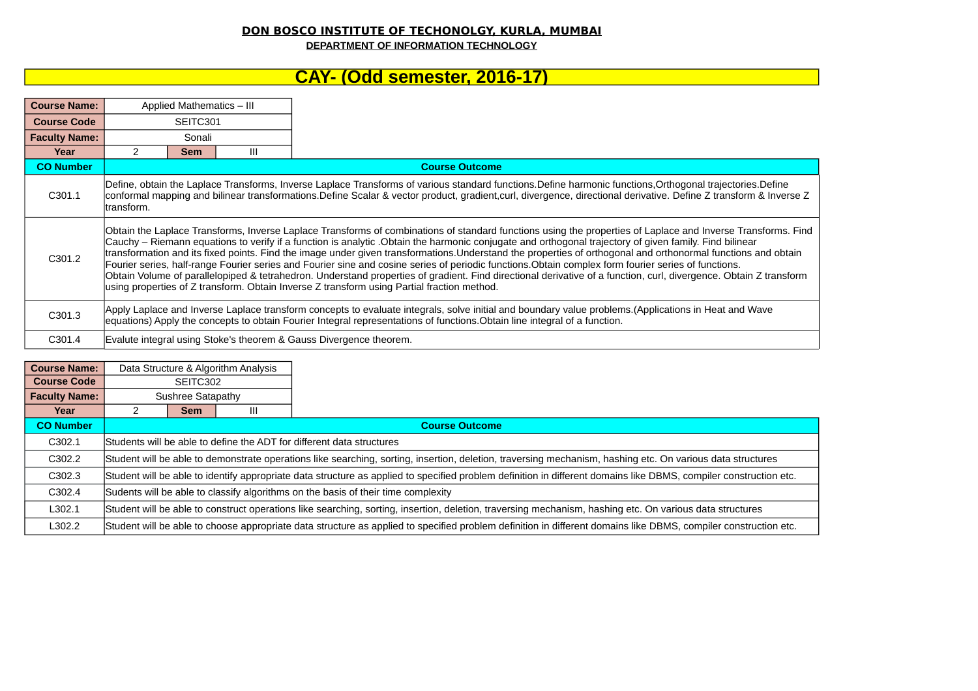## **DON BOSCO INSTITUTE OF TECHONOLGY, KURLA, MUMBAI**

**DEPARTMENT OF INFORMATION TECHNOLOGY**

## **CAY- (Odd semester, 2016-17)**

| <b>Course Name:</b>  |            | Applied Mathematics - III                                                                                                                                                                                                                                                                                                                                                                                                                                                                                                                                                                                                                                                                                                                                                                                                                                                                                          |   |                                                                    |  |  |  |  |
|----------------------|------------|--------------------------------------------------------------------------------------------------------------------------------------------------------------------------------------------------------------------------------------------------------------------------------------------------------------------------------------------------------------------------------------------------------------------------------------------------------------------------------------------------------------------------------------------------------------------------------------------------------------------------------------------------------------------------------------------------------------------------------------------------------------------------------------------------------------------------------------------------------------------------------------------------------------------|---|--------------------------------------------------------------------|--|--|--|--|
| <b>Course Code</b>   |            | SEITC301                                                                                                                                                                                                                                                                                                                                                                                                                                                                                                                                                                                                                                                                                                                                                                                                                                                                                                           |   |                                                                    |  |  |  |  |
| <b>Faculty Name:</b> |            | Sonali                                                                                                                                                                                                                                                                                                                                                                                                                                                                                                                                                                                                                                                                                                                                                                                                                                                                                                             |   |                                                                    |  |  |  |  |
| Year                 | 2          | <b>Sem</b>                                                                                                                                                                                                                                                                                                                                                                                                                                                                                                                                                                                                                                                                                                                                                                                                                                                                                                         | Ш |                                                                    |  |  |  |  |
| <b>CO Number</b>     |            |                                                                                                                                                                                                                                                                                                                                                                                                                                                                                                                                                                                                                                                                                                                                                                                                                                                                                                                    |   | <b>Course Outcome</b>                                              |  |  |  |  |
| C301.1               | transform. | Define, obtain the Laplace Transforms, Inverse Laplace Transforms of various standard functions.Define harmonic functions,Orthogonal trajectories.Define<br> conformal mapping and bilinear transformations.Define Scalar & vector product, gradient,curl, divergence, directional derivative. Define Z transform & Inverse Z                                                                                                                                                                                                                                                                                                                                                                                                                                                                                                                                                                                      |   |                                                                    |  |  |  |  |
| C301.2               |            | Obtain the Laplace Transforms, Inverse Laplace Transforms of combinations of standard functions using the properties of Laplace and Inverse Transforms. Find<br>Cauchy – Riemann equations to verify if a function is analytic .Obtain the harmonic conjugate and orthogonal trajectory of given family. Find bilinear<br>transformation and its fixed points. Find the image under given transformations. Understand the properties of orthogonal and orthonormal functions and obtain<br>Fourier series, half-range Fourier series and Fourier sine and cosine series of periodic functions. Obtain complex form fourier series of functions.<br>Obtain Volume of parallelopiped & tetrahedron. Understand properties of gradient. Find directional derivative of a function, curl, divergence. Obtain Z transform<br>using properties of Z transform. Obtain Inverse Z transform using Partial fraction method. |   |                                                                    |  |  |  |  |
| C301.3               |            | Apply Laplace and Inverse Laplace transform concepts to evaluate integrals, solve initial and boundary value problems.(Applications in Heat and Wave<br>equations) Apply the concepts to obtain Fourier Integral representations of functions. Obtain line integral of a function.                                                                                                                                                                                                                                                                                                                                                                                                                                                                                                                                                                                                                                 |   |                                                                    |  |  |  |  |
| C301.4               |            |                                                                                                                                                                                                                                                                                                                                                                                                                                                                                                                                                                                                                                                                                                                                                                                                                                                                                                                    |   | Evalute integral using Stoke's theorem & Gauss Divergence theorem. |  |  |  |  |

| <b>Course Name:</b>  | Data Structure & Algorithm Analysis                                               |                                                                                                                                                                   |  |                                                                                                                                                                 |  |  |  |
|----------------------|-----------------------------------------------------------------------------------|-------------------------------------------------------------------------------------------------------------------------------------------------------------------|--|-----------------------------------------------------------------------------------------------------------------------------------------------------------------|--|--|--|
| <b>Course Code</b>   | SEITC302                                                                          |                                                                                                                                                                   |  |                                                                                                                                                                 |  |  |  |
| <b>Faculty Name:</b> | Sushree Satapathy                                                                 |                                                                                                                                                                   |  |                                                                                                                                                                 |  |  |  |
| Year                 |                                                                                   | <b>Sem</b><br>Ш                                                                                                                                                   |  |                                                                                                                                                                 |  |  |  |
| <b>CO Number</b>     |                                                                                   |                                                                                                                                                                   |  | <b>Course Outcome</b>                                                                                                                                           |  |  |  |
| C302.1               |                                                                                   | Students will be able to define the ADT for different data structures                                                                                             |  |                                                                                                                                                                 |  |  |  |
| C302.2               |                                                                                   | Student will be able to demonstrate operations like searching, sorting, insertion, deletion, traversing mechanism, hashing etc. On various data structures        |  |                                                                                                                                                                 |  |  |  |
| C302.3               |                                                                                   | Student will be able to identify appropriate data structure as applied to specified problem definition in different domains like DBMS, compiler construction etc. |  |                                                                                                                                                                 |  |  |  |
| C302.4               | Sudents will be able to classify algorithms on the basis of their time complexity |                                                                                                                                                                   |  |                                                                                                                                                                 |  |  |  |
| L302.1               |                                                                                   | Student will be able to construct operations like searching, sorting, insertion, deletion, traversing mechanism, hashing etc. On various data structures          |  |                                                                                                                                                                 |  |  |  |
| L302.2               |                                                                                   |                                                                                                                                                                   |  | Student will be able to choose appropriate data structure as applied to specified problem definition in different domains like DBMS, compiler construction etc. |  |  |  |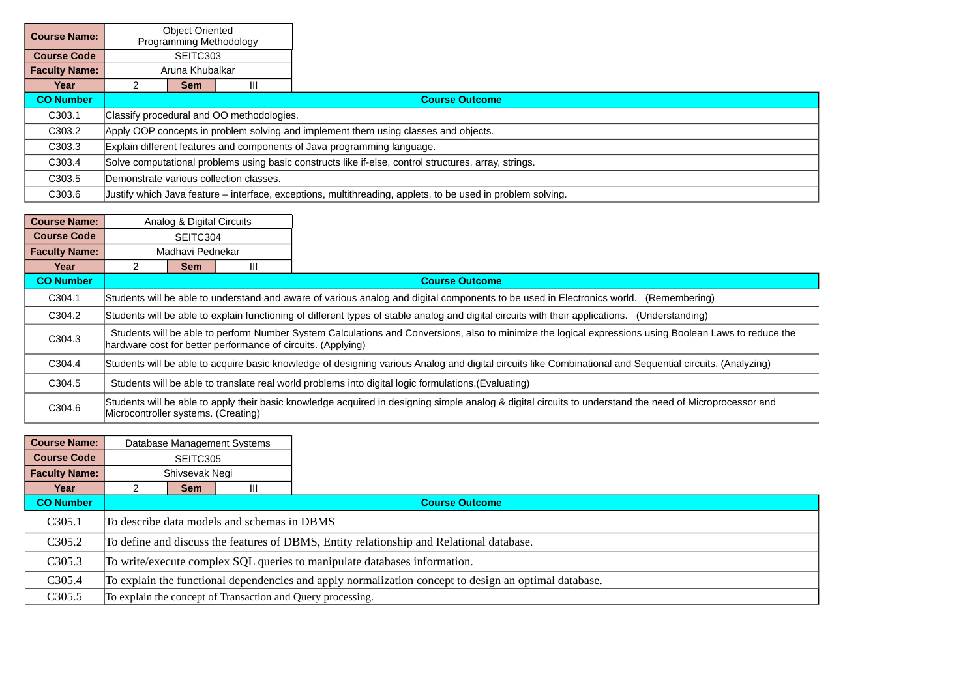| <b>Course Name:</b>  |                                                                                                       | <b>Object Oriented</b><br>Programming Methodology                       |  |                                                                                                             |  |  |  |
|----------------------|-------------------------------------------------------------------------------------------------------|-------------------------------------------------------------------------|--|-------------------------------------------------------------------------------------------------------------|--|--|--|
| <b>Course Code</b>   |                                                                                                       | SEITC303                                                                |  |                                                                                                             |  |  |  |
| <b>Faculty Name:</b> | Aruna Khubalkar                                                                                       |                                                                         |  |                                                                                                             |  |  |  |
| Year                 | Ш<br><b>Sem</b>                                                                                       |                                                                         |  |                                                                                                             |  |  |  |
| <b>CO Number</b>     |                                                                                                       | <b>Course Outcome</b>                                                   |  |                                                                                                             |  |  |  |
| C303.1               |                                                                                                       | Classify procedural and OO methodologies.                               |  |                                                                                                             |  |  |  |
| C303.2               | Apply OOP concepts in problem solving and implement them using classes and objects.                   |                                                                         |  |                                                                                                             |  |  |  |
| C303.3               |                                                                                                       | Explain different features and components of Java programming language. |  |                                                                                                             |  |  |  |
| C303.4               | Solve computational problems using basic constructs like if-else, control structures, array, strings. |                                                                         |  |                                                                                                             |  |  |  |
| C303.5               |                                                                                                       | Demonstrate various collection classes.                                 |  |                                                                                                             |  |  |  |
| C303.6               |                                                                                                       |                                                                         |  | Justify which Java feature – interface, exceptions, multithreading, applets, to be used in problem solving. |  |  |  |

| <b>Course Name:</b>  | Analog & Digital Circuits                                                                                                                                                                                              |   |                                                                                                                                                   |  |  |  |  |
|----------------------|------------------------------------------------------------------------------------------------------------------------------------------------------------------------------------------------------------------------|---|---------------------------------------------------------------------------------------------------------------------------------------------------|--|--|--|--|
| <b>Course Code</b>   | SEITC304                                                                                                                                                                                                               |   |                                                                                                                                                   |  |  |  |  |
| <b>Faculty Name:</b> | Madhavi Pednekar                                                                                                                                                                                                       |   |                                                                                                                                                   |  |  |  |  |
| Year                 | Sem                                                                                                                                                                                                                    | Ш |                                                                                                                                                   |  |  |  |  |
| <b>CO Number</b>     |                                                                                                                                                                                                                        |   | <b>Course Outcome</b>                                                                                                                             |  |  |  |  |
| C304.1               |                                                                                                                                                                                                                        |   | Students will be able to understand and aware of various analog and digital components to be used in Electronics world.<br>(Remembering)          |  |  |  |  |
| C304.2               |                                                                                                                                                                                                                        |   | Students will be able to explain functioning of different types of stable analog and digital circuits with their applications.<br>(Understanding) |  |  |  |  |
| C304.3               | Students will be able to perform Number System Calculations and Conversions, also to minimize the logical expressions using Boolean Laws to reduce the<br>hardware cost for better performance of circuits. (Applying) |   |                                                                                                                                                   |  |  |  |  |
| C304.4               | Students will be able to acquire basic knowledge of designing various Analog and digital circuits like Combinational and Sequential circuits. (Analyzing)                                                              |   |                                                                                                                                                   |  |  |  |  |
| C304.5               | Students will be able to translate real world problems into digital logic formulations. (Evaluating)                                                                                                                   |   |                                                                                                                                                   |  |  |  |  |
| C304.6               | Students will be able to apply their basic knowledge acquired in designing simple analog & digital circuits to understand the need of Microprocessor and<br>Microcontroller systems. (Creating)                        |   |                                                                                                                                                   |  |  |  |  |

| <b>Course Name:</b>  |                                                                                                       |                                                                                          | Database Management Systems |                                                             |  |  |  |
|----------------------|-------------------------------------------------------------------------------------------------------|------------------------------------------------------------------------------------------|-----------------------------|-------------------------------------------------------------|--|--|--|
| <b>Course Code</b>   |                                                                                                       | SEITC305                                                                                 |                             |                                                             |  |  |  |
| <b>Faculty Name:</b> | Shivsevak Negi                                                                                        |                                                                                          |                             |                                                             |  |  |  |
| Year                 |                                                                                                       | <b>Sem</b>                                                                               | Ш                           |                                                             |  |  |  |
| <b>CO Number</b>     |                                                                                                       |                                                                                          |                             | <b>Course Outcome</b>                                       |  |  |  |
| C305.1               |                                                                                                       | To describe data models and schemas in DBMS                                              |                             |                                                             |  |  |  |
| C305.2               |                                                                                                       | To define and discuss the features of DBMS, Entity relationship and Relational database. |                             |                                                             |  |  |  |
| C305.3               | To write/execute complex SQL queries to manipulate databases information.                             |                                                                                          |                             |                                                             |  |  |  |
| C305.4               | To explain the functional dependencies and apply normalization concept to design an optimal database. |                                                                                          |                             |                                                             |  |  |  |
| C305.5               |                                                                                                       |                                                                                          |                             | To explain the concept of Transaction and Query processing. |  |  |  |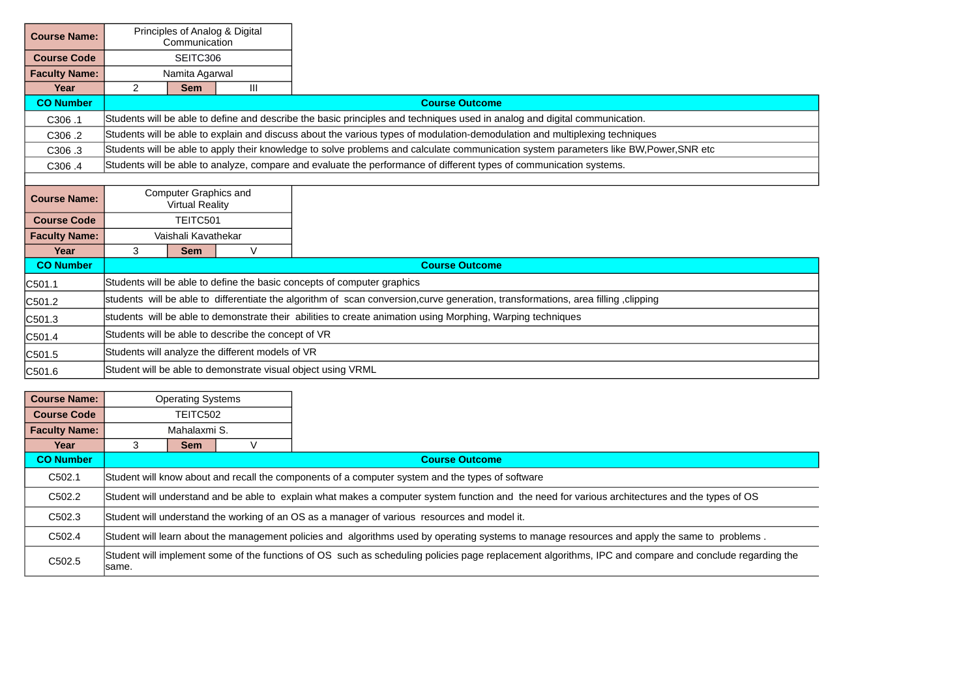| <b>Course Name:</b>  |                                                                                                                                  | Principles of Analog & Digital<br>Communication |                                                  |                                                                                                                                      |  |  |  |
|----------------------|----------------------------------------------------------------------------------------------------------------------------------|-------------------------------------------------|--------------------------------------------------|--------------------------------------------------------------------------------------------------------------------------------------|--|--|--|
| <b>Course Code</b>   | SEITC306                                                                                                                         |                                                 |                                                  |                                                                                                                                      |  |  |  |
| <b>Faculty Name:</b> |                                                                                                                                  | Namita Agarwal                                  |                                                  |                                                                                                                                      |  |  |  |
| Year                 | $\overline{2}$                                                                                                                   | <b>Sem</b>                                      | Ш                                                |                                                                                                                                      |  |  |  |
| <b>CO Number</b>     |                                                                                                                                  |                                                 |                                                  | <b>Course Outcome</b>                                                                                                                |  |  |  |
| C306.1               |                                                                                                                                  |                                                 |                                                  | Students will be able to define and describe the basic principles and techniques used in analog and digital communication.           |  |  |  |
| C306.2               |                                                                                                                                  |                                                 |                                                  | Students will be able to explain and discuss about the various types of modulation-demodulation and multiplexing techniques          |  |  |  |
| C <sub>3</sub> 06.3  |                                                                                                                                  |                                                 |                                                  | Students will be able to apply their knowledge to solve problems and calculate communication system parameters like BW,Power,SNR etc |  |  |  |
| C306.4               |                                                                                                                                  |                                                 |                                                  | Students will be able to analyze, compare and evaluate the performance of different types of communication systems.                  |  |  |  |
|                      |                                                                                                                                  |                                                 |                                                  |                                                                                                                                      |  |  |  |
| <b>Course Name:</b>  | Computer Graphics and<br><b>Virtual Reality</b>                                                                                  |                                                 |                                                  |                                                                                                                                      |  |  |  |
| <b>Course Code</b>   |                                                                                                                                  | TEITC501                                        |                                                  |                                                                                                                                      |  |  |  |
| <b>Faculty Name:</b> |                                                                                                                                  | Vaishali Kavathekar                             |                                                  |                                                                                                                                      |  |  |  |
| Year                 | 3                                                                                                                                | <b>Sem</b>                                      | $\vee$                                           |                                                                                                                                      |  |  |  |
| <b>CO Number</b>     |                                                                                                                                  |                                                 |                                                  | <b>Course Outcome</b>                                                                                                                |  |  |  |
| C501.1               |                                                                                                                                  |                                                 |                                                  | Students will be able to define the basic concepts of computer graphics                                                              |  |  |  |
| C501.2               | students will be able to differentiate the algorithm of scan conversion,curve generation, transformations, area filling clipping |                                                 |                                                  |                                                                                                                                      |  |  |  |
| C501.3               | students will be able to demonstrate their abilities to create animation using Morphing, Warping techniques                      |                                                 |                                                  |                                                                                                                                      |  |  |  |
| C501.4               | Students will be able to describe the concept of VR                                                                              |                                                 |                                                  |                                                                                                                                      |  |  |  |
| C501.5               |                                                                                                                                  |                                                 | Students will analyze the different models of VR |                                                                                                                                      |  |  |  |
| C501.6               |                                                                                                                                  |                                                 |                                                  | Student will be able to demonstrate visual object using VRML                                                                         |  |  |  |

| <b>Course Name:</b>  | <b>Operating Systems</b> |                                                                                                                                                        |  |                                                                                                  |  |  |  |  |
|----------------------|--------------------------|--------------------------------------------------------------------------------------------------------------------------------------------------------|--|--------------------------------------------------------------------------------------------------|--|--|--|--|
| <b>Course Code</b>   | TEITC502                 |                                                                                                                                                        |  |                                                                                                  |  |  |  |  |
| <b>Faculty Name:</b> | Mahalaxmi S.             |                                                                                                                                                        |  |                                                                                                  |  |  |  |  |
| Year                 | 3                        | <b>Sem</b>                                                                                                                                             |  |                                                                                                  |  |  |  |  |
| <b>CO Number</b>     |                          |                                                                                                                                                        |  | <b>Course Outcome</b>                                                                            |  |  |  |  |
| C502.1               |                          |                                                                                                                                                        |  | Student will know about and recall the components of a computer system and the types of software |  |  |  |  |
| C502.2               |                          | Student will understand and be able to explain what makes a computer system function and the need for various architectures and the types of OS        |  |                                                                                                  |  |  |  |  |
| C502.3               |                          | Student will understand the working of an OS as a manager of various resources and model it.                                                           |  |                                                                                                  |  |  |  |  |
| C502.4               |                          | Student will learn about the management policies and algorithms used by operating systems to manage resources and apply the same to problems.          |  |                                                                                                  |  |  |  |  |
| C502.5               | same.                    | Student will implement some of the functions of OS such as scheduling policies page replacement algorithms, IPC and compare and conclude regarding the |  |                                                                                                  |  |  |  |  |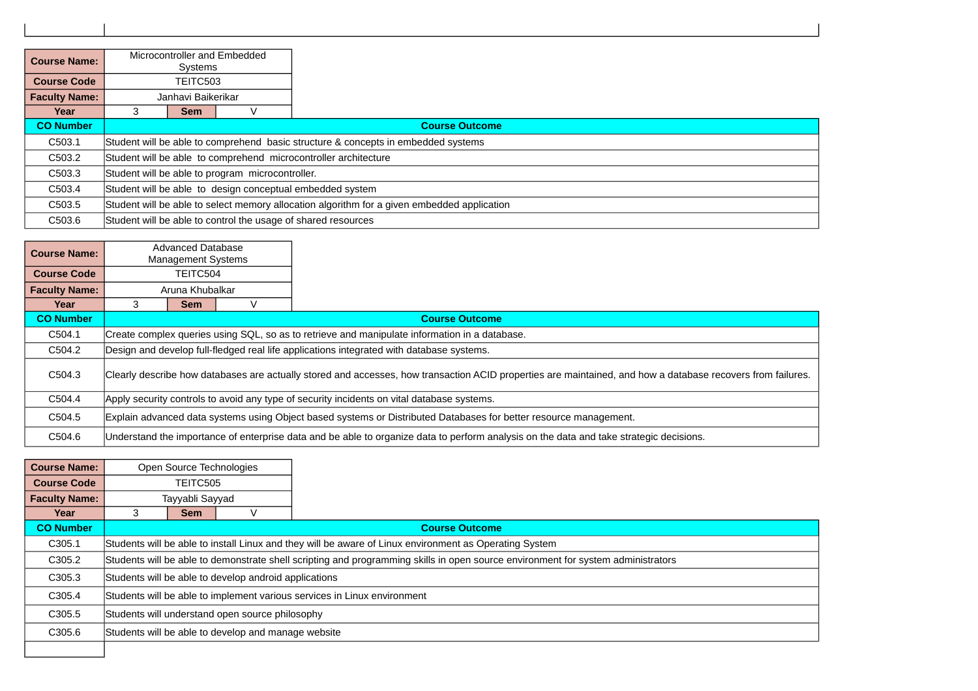| <b>Course Name:</b>  |                                                                                             | Microcontroller and Embedded<br>Systems                                           |  |                                                               |  |  |  |
|----------------------|---------------------------------------------------------------------------------------------|-----------------------------------------------------------------------------------|--|---------------------------------------------------------------|--|--|--|
| <b>Course Code</b>   |                                                                                             | TEITC503                                                                          |  |                                                               |  |  |  |
| <b>Faculty Name:</b> | Janhavi Baikerikar                                                                          |                                                                                   |  |                                                               |  |  |  |
| Year                 | 3                                                                                           | <b>Sem</b>                                                                        |  |                                                               |  |  |  |
| <b>CO Number</b>     |                                                                                             |                                                                                   |  | <b>Course Outcome</b>                                         |  |  |  |
| C503.1               |                                                                                             | Student will be able to comprehend basic structure & concepts in embedded systems |  |                                                               |  |  |  |
| C503.2               | Student will be able to comprehend microcontroller architecture                             |                                                                                   |  |                                                               |  |  |  |
| C503.3               |                                                                                             | Student will be able to program microcontroller.                                  |  |                                                               |  |  |  |
| C503.4               | Student will be able to design conceptual embedded system                                   |                                                                                   |  |                                                               |  |  |  |
| C503.5               | Student will be able to select memory allocation algorithm for a given embedded application |                                                                                   |  |                                                               |  |  |  |
| C503.6               |                                                                                             |                                                                                   |  | Student will be able to control the usage of shared resources |  |  |  |

| <b>Course Name:</b>  |                                                                                                                                                             | Advanced Database<br><b>Management Systems</b>                                                                    |  |                                                                                                                                         |  |  |  |
|----------------------|-------------------------------------------------------------------------------------------------------------------------------------------------------------|-------------------------------------------------------------------------------------------------------------------|--|-----------------------------------------------------------------------------------------------------------------------------------------|--|--|--|
| <b>Course Code</b>   |                                                                                                                                                             | TEITC504                                                                                                          |  |                                                                                                                                         |  |  |  |
| <b>Faculty Name:</b> |                                                                                                                                                             | Aruna Khubalkar                                                                                                   |  |                                                                                                                                         |  |  |  |
| Year                 |                                                                                                                                                             | <b>Sem</b>                                                                                                        |  |                                                                                                                                         |  |  |  |
| <b>CO Number</b>     |                                                                                                                                                             |                                                                                                                   |  | <b>Course Outcome</b>                                                                                                                   |  |  |  |
| C504.1               |                                                                                                                                                             | Create complex queries using SOL, so as to retrieve and manipulate information in a database.                     |  |                                                                                                                                         |  |  |  |
| C504.2               |                                                                                                                                                             |                                                                                                                   |  | Design and develop full-fledged real life applications integrated with database systems.                                                |  |  |  |
| C504.3               | Clearly describe how databases are actually stored and accesses, how transaction ACID properties are maintained, and how a database recovers from failures. |                                                                                                                   |  |                                                                                                                                         |  |  |  |
| C504.4               | Apply security controls to avoid any type of security incidents on vital database systems.                                                                  |                                                                                                                   |  |                                                                                                                                         |  |  |  |
| C504.5               |                                                                                                                                                             | Explain advanced data systems using Object based systems or Distributed Databases for better resource management. |  |                                                                                                                                         |  |  |  |
| C504.6               |                                                                                                                                                             |                                                                                                                   |  | Understand the importance of enterprise data and be able to organize data to perform analysis on the data and take strategic decisions. |  |  |  |

| <b>Course Name:</b>  |                                                 | Open Source Technologies                                                                                                         |  |                       |  |  |  |  |
|----------------------|-------------------------------------------------|----------------------------------------------------------------------------------------------------------------------------------|--|-----------------------|--|--|--|--|
| <b>Course Code</b>   | TEITC505                                        |                                                                                                                                  |  |                       |  |  |  |  |
| <b>Faculty Name:</b> | Tayyabli Sayyad                                 |                                                                                                                                  |  |                       |  |  |  |  |
| Year                 | 3                                               | <b>Sem</b>                                                                                                                       |  |                       |  |  |  |  |
| <b>CO Number</b>     |                                                 |                                                                                                                                  |  | <b>Course Outcome</b> |  |  |  |  |
| C305.1               |                                                 | Students will be able to install Linux and they will be aware of Linux environment as Operating System                           |  |                       |  |  |  |  |
| C305.2               |                                                 | Students will be able to demonstrate shell scripting and programming skills in open source environment for system administrators |  |                       |  |  |  |  |
| C305.3               |                                                 | Students will be able to develop android applications                                                                            |  |                       |  |  |  |  |
| C305.4               |                                                 | Students will be able to implement various services in Linux environment                                                         |  |                       |  |  |  |  |
| C305.5               | Students will understand open source philosophy |                                                                                                                                  |  |                       |  |  |  |  |
| C305.6               |                                                 | Students will be able to develop and manage website                                                                              |  |                       |  |  |  |  |
|                      |                                                 |                                                                                                                                  |  |                       |  |  |  |  |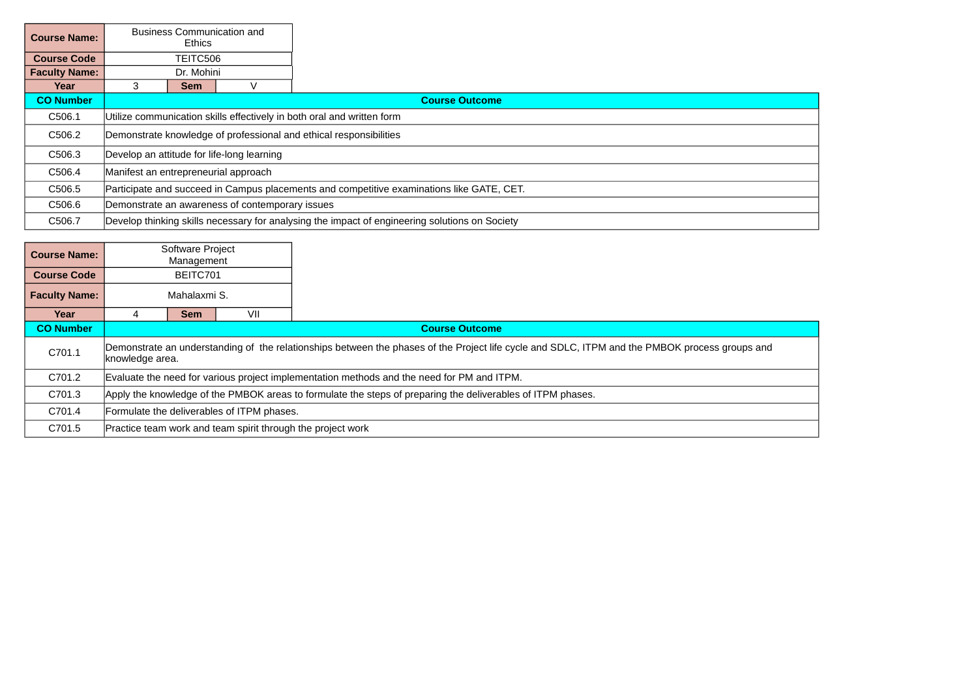| <b>Course Name:</b>  |                                                                                           | <b>Business Communication and</b><br>Ethics                            |  |                                                                                                |  |  |  |  |
|----------------------|-------------------------------------------------------------------------------------------|------------------------------------------------------------------------|--|------------------------------------------------------------------------------------------------|--|--|--|--|
| <b>Course Code</b>   |                                                                                           | TEITC506                                                               |  |                                                                                                |  |  |  |  |
| <b>Faculty Name:</b> |                                                                                           | Dr. Mohini                                                             |  |                                                                                                |  |  |  |  |
| Year                 | 3<br><b>Sem</b>                                                                           |                                                                        |  |                                                                                                |  |  |  |  |
| <b>CO Number</b>     |                                                                                           |                                                                        |  | <b>Course Outcome</b>                                                                          |  |  |  |  |
| C506.1               |                                                                                           | Utilize communication skills effectively in both oral and written form |  |                                                                                                |  |  |  |  |
| C506.2               |                                                                                           | Demonstrate knowledge of professional and ethical responsibilities     |  |                                                                                                |  |  |  |  |
| C506.3               |                                                                                           | Develop an attitude for life-long learning                             |  |                                                                                                |  |  |  |  |
| C506.4               |                                                                                           | Manifest an entrepreneurial approach                                   |  |                                                                                                |  |  |  |  |
| C506.5               | Participate and succeed in Campus placements and competitive examinations like GATE, CET. |                                                                        |  |                                                                                                |  |  |  |  |
| C506.6               |                                                                                           | Demonstrate an awareness of contemporary issues                        |  |                                                                                                |  |  |  |  |
| C506.7               |                                                                                           |                                                                        |  | Develop thinking skills necessary for analysing the impact of engineering solutions on Society |  |  |  |  |

| <b>Course Name:</b>  |                                                                                                             | Software Project<br>Management                                                                                                                                    |  |                                                             |  |  |  |
|----------------------|-------------------------------------------------------------------------------------------------------------|-------------------------------------------------------------------------------------------------------------------------------------------------------------------|--|-------------------------------------------------------------|--|--|--|
| <b>Course Code</b>   |                                                                                                             | BEITC701                                                                                                                                                          |  |                                                             |  |  |  |
| <b>Faculty Name:</b> | Mahalaxmi S.                                                                                                |                                                                                                                                                                   |  |                                                             |  |  |  |
| Year                 | VII<br><b>Sem</b><br>4                                                                                      |                                                                                                                                                                   |  |                                                             |  |  |  |
| <b>CO Number</b>     |                                                                                                             |                                                                                                                                                                   |  | <b>Course Outcome</b>                                       |  |  |  |
| C701.1               |                                                                                                             | Demonstrate an understanding of the relationships between the phases of the Project life cycle and SDLC, ITPM and the PMBOK process groups and<br>knowledge area. |  |                                                             |  |  |  |
| C701.2               |                                                                                                             | Evaluate the need for various project implementation methods and the need for PM and ITPM.                                                                        |  |                                                             |  |  |  |
| C701.3               | Apply the knowledge of the PMBOK areas to formulate the steps of preparing the deliverables of ITPM phases. |                                                                                                                                                                   |  |                                                             |  |  |  |
| C701.4               | Formulate the deliverables of ITPM phases.                                                                  |                                                                                                                                                                   |  |                                                             |  |  |  |
| C701.5               |                                                                                                             |                                                                                                                                                                   |  | Practice team work and team spirit through the project work |  |  |  |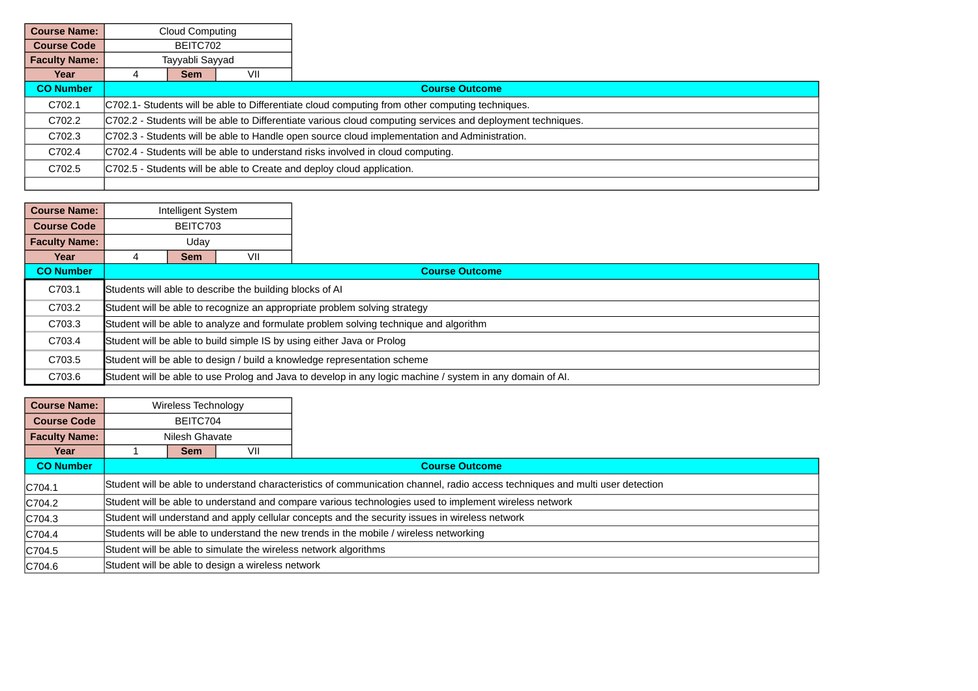| <b>Course Name:</b>  | Cloud Computing                                                                                             |                                                                                               |  |  |  |  |
|----------------------|-------------------------------------------------------------------------------------------------------------|-----------------------------------------------------------------------------------------------|--|--|--|--|
| <b>Course Code</b>   | BEITC702                                                                                                    |                                                                                               |  |  |  |  |
| <b>Faculty Name:</b> | Tayyabli Sayyad                                                                                             |                                                                                               |  |  |  |  |
| Year                 |                                                                                                             | VII<br><b>Sem</b>                                                                             |  |  |  |  |
| <b>CO Number</b>     | <b>Course Outcome</b>                                                                                       |                                                                                               |  |  |  |  |
| C702.1               | C702.1- Students will be able to Differentiate cloud computing from other computing techniques.             |                                                                                               |  |  |  |  |
| C702.2               | C702.2 - Students will be able to Differentiate various cloud computing services and deployment techniques. |                                                                                               |  |  |  |  |
| C702.3               |                                                                                                             | C702.3 - Students will be able to Handle open source cloud implementation and Administration. |  |  |  |  |
| C702.4               | C702.4 - Students will be able to understand risks involved in cloud computing.                             |                                                                                               |  |  |  |  |
| C702.5               |                                                                                                             | C702.5 - Students will be able to Create and deploy cloud application.                        |  |  |  |  |
|                      |                                                                                                             |                                                                                               |  |  |  |  |

| <b>Course Name:</b>  | Intelligent System                                                                                        |                                                                                       |  |                       |  |  |
|----------------------|-----------------------------------------------------------------------------------------------------------|---------------------------------------------------------------------------------------|--|-----------------------|--|--|
| <b>Course Code</b>   | BEITC703                                                                                                  |                                                                                       |  |                       |  |  |
| <b>Faculty Name:</b> | Uday                                                                                                      |                                                                                       |  |                       |  |  |
| Year                 | VII<br><b>Sem</b><br>4                                                                                    |                                                                                       |  |                       |  |  |
| <b>CO Number</b>     |                                                                                                           |                                                                                       |  | <b>Course Outcome</b> |  |  |
| C703.1               |                                                                                                           | Students will able to describe the building blocks of AI                              |  |                       |  |  |
| C703.2               | Student will be able to recognize an appropriate problem solving strategy                                 |                                                                                       |  |                       |  |  |
| C703.3               |                                                                                                           | Student will be able to analyze and formulate problem solving technique and algorithm |  |                       |  |  |
| C703.4               | Student will be able to build simple IS by using either Java or Prolog                                    |                                                                                       |  |                       |  |  |
| C703.5               |                                                                                                           | Student will be able to design / build a knowledge representation scheme              |  |                       |  |  |
| C703.6               | Student will be able to use Prolog and Java to develop in any logic machine / system in any domain of Al. |                                                                                       |  |                       |  |  |

| <b>Course Name:</b>  | Wireless Technology                                                                             |                                                                                                                               |     |  |  |  |
|----------------------|-------------------------------------------------------------------------------------------------|-------------------------------------------------------------------------------------------------------------------------------|-----|--|--|--|
| <b>Course Code</b>   | BEITC704                                                                                        |                                                                                                                               |     |  |  |  |
| <b>Faculty Name:</b> | Nilesh Ghavate                                                                                  |                                                                                                                               |     |  |  |  |
| Year                 |                                                                                                 | Sem                                                                                                                           | VII |  |  |  |
| <b>CO Number</b>     | <b>Course Outcome</b>                                                                           |                                                                                                                               |     |  |  |  |
| C704.1               |                                                                                                 | Student will be able to understand characteristics of communication channel, radio access techniques and multi user detection |     |  |  |  |
| C704.2               |                                                                                                 | Student will be able to understand and compare various technologies used to implement wireless network                        |     |  |  |  |
| C704.3               | Student will understand and apply cellular concepts and the security issues in wireless network |                                                                                                                               |     |  |  |  |
| C704.4               | Students will be able to understand the new trends in the mobile / wireless networking          |                                                                                                                               |     |  |  |  |
| C704.5               | Student will be able to simulate the wireless network algorithms                                |                                                                                                                               |     |  |  |  |
| C704.6               | Student will be able to design a wireless network                                               |                                                                                                                               |     |  |  |  |